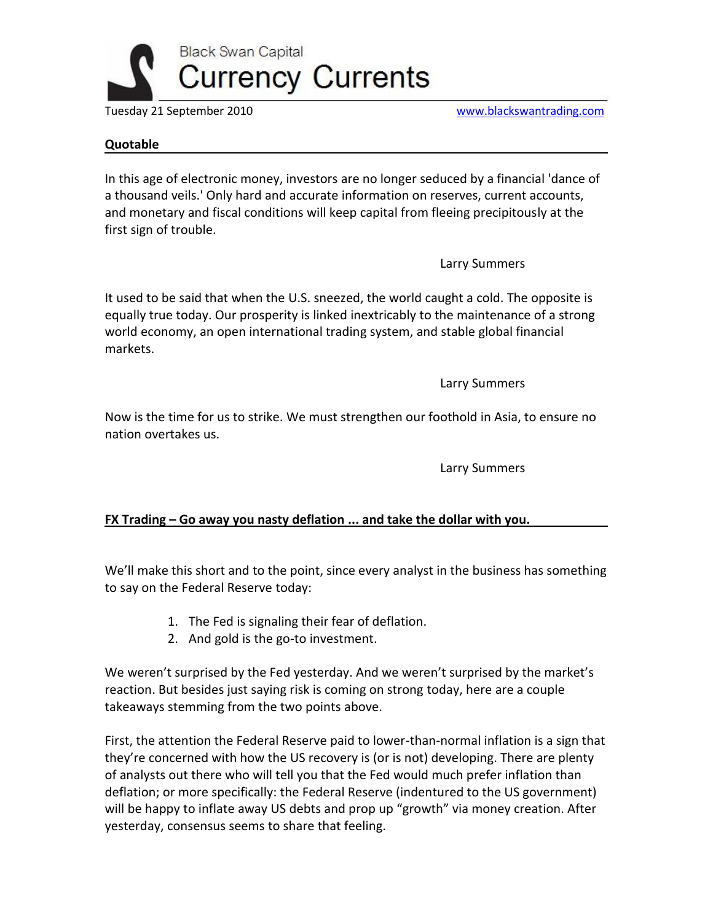

Tuesday 21 September 2010 [www.blackswantrading.com](http://www.blackswantrading.com/)

## **Quotable**

In this age of electronic money, investors are no longer seduced by a financial 'dance of a thousand veils.' Only hard and accurate information on reserves, current accounts, and monetary and fiscal conditions will keep capital from fleeing precipitously at the first sign of trouble.

Larry Summers

It used to be said that when the U.S. sneezed, the world caught a cold. The opposite is equally true today. Our prosperity is linked inextricably to the maintenance of a strong world economy, an open international trading system, and stable global financial markets.

Larry Summers

Now is the time for us to strike. We must strengthen our foothold in Asia, to ensure no nation overtakes us.

Larry Summers

## **FX Trading – Go away you nasty deflation ... and take the dollar with you.**

We'll make this short and to the point, since every analyst in the business has something to say on the Federal Reserve today:

- 1. The Fed is signaling their fear of deflation.
- 2. And gold is the go-to investment.

We weren't surprised by the Fed yesterday. And we weren't surprised by the market's reaction. But besides just saying risk is coming on strong today, here are a couple takeaways stemming from the two points above.

First, the attention the Federal Reserve paid to lower-than-normal inflation is a sign that they're concerned with how the US recovery is (or is not) developing. There are plenty of analysts out there who will tell you that the Fed would much prefer inflation than deflation; or more specifically: the Federal Reserve (indentured to the US government) will be happy to inflate away US debts and prop up "growth" via money creation. After yesterday, consensus seems to share that feeling.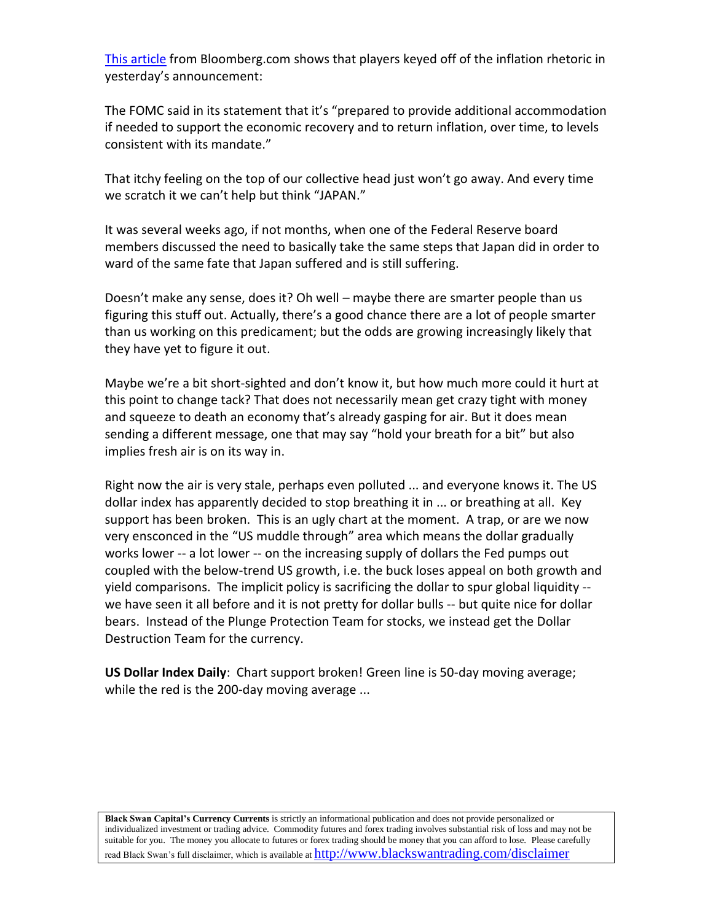[This article](http://www.bloomberg.com/news/2010-09-22/fed-s-concern-over-inflation-broadens-rationale-for-more-easing.html) from Bloomberg.com shows that players keyed off of the inflation rhetoric in yesterday's announcement:

The FOMC said in its statement that it's "prepared to provide additional accommodation if needed to support the economic recovery and to return inflation, over time, to levels consistent with its mandate."

That itchy feeling on the top of our collective head just won't go away. And every time we scratch it we can't help but think "JAPAN."

It was several weeks ago, if not months, when one of the Federal Reserve board members discussed the need to basically take the same steps that Japan did in order to ward of the same fate that Japan suffered and is still suffering.

Doesn't make any sense, does it? Oh well – maybe there are smarter people than us figuring this stuff out. Actually, there's a good chance there are a lot of people smarter than us working on this predicament; but the odds are growing increasingly likely that they have yet to figure it out.

Maybe we're a bit short-sighted and don't know it, but how much more could it hurt at this point to change tack? That does not necessarily mean get crazy tight with money and squeeze to death an economy that's already gasping for air. But it does mean sending a different message, one that may say "hold your breath for a bit" but also implies fresh air is on its way in.

Right now the air is very stale, perhaps even polluted ... and everyone knows it. The US dollar index has apparently decided to stop breathing it in ... or breathing at all. Key support has been broken. This is an ugly chart at the moment. A trap, or are we now very ensconced in the "US muddle through" area which means the dollar gradually works lower -- a lot lower -- on the increasing supply of dollars the Fed pumps out coupled with the below-trend US growth, i.e. the buck loses appeal on both growth and yield comparisons. The implicit policy is sacrificing the dollar to spur global liquidity - we have seen it all before and it is not pretty for dollar bulls -- but quite nice for dollar bears. Instead of the Plunge Protection Team for stocks, we instead get the Dollar Destruction Team for the currency.

**US Dollar Index Daily**: Chart support broken! Green line is 50-day moving average; while the red is the 200-day moving average ...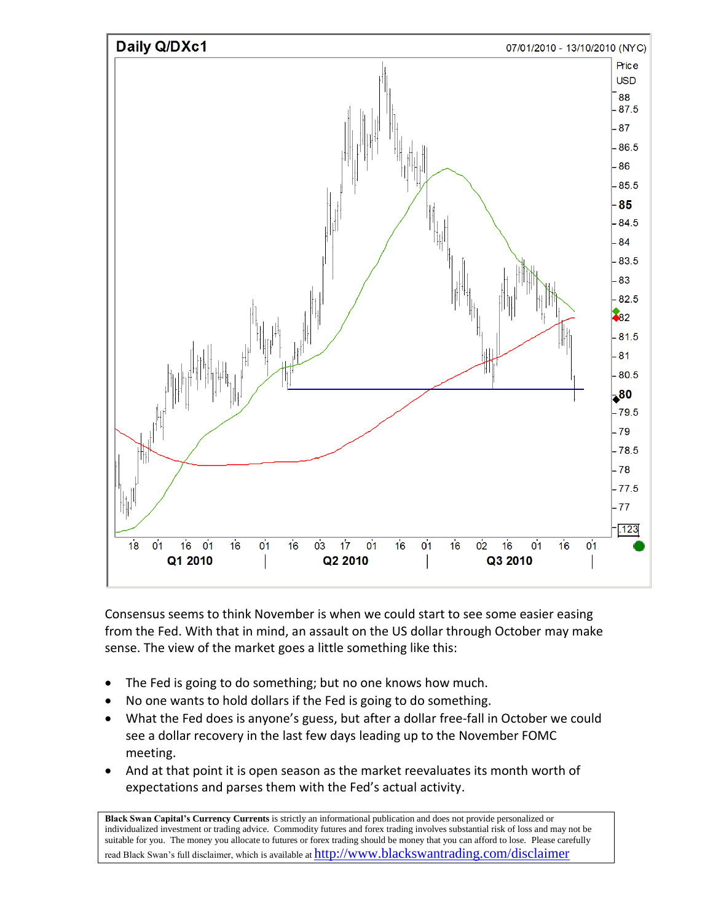

Consensus seems to think November is when we could start to see some easier easing from the Fed. With that in mind, an assault on the US dollar through October may make sense. The view of the market goes a little something like this:

- The Fed is going to do something; but no one knows how much.
- No one wants to hold dollars if the Fed is going to do something.
- What the Fed does is anyone's guess, but after a dollar free-fall in October we could see a dollar recovery in the last few days leading up to the November FOMC meeting.
- And at that point it is open season as the market reevaluates its month worth of expectations and parses them with the Fed's actual activity.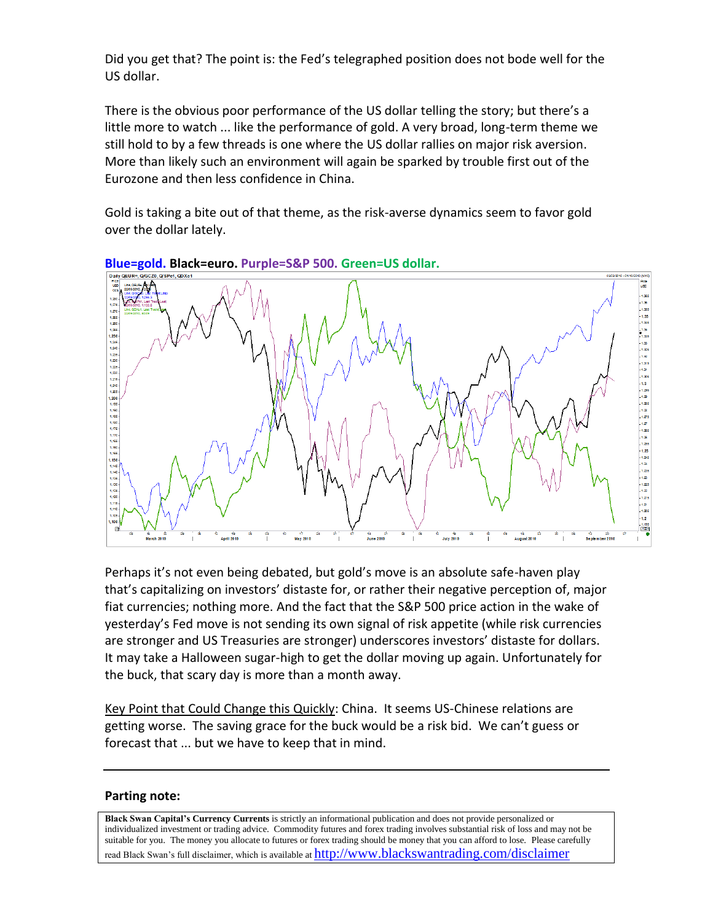Did you get that? The point is: the Fed's telegraphed position does not bode well for the US dollar.

There is the obvious poor performance of the US dollar telling the story; but there's a little more to watch ... like the performance of gold. A very broad, long-term theme we still hold to by a few threads is one where the US dollar rallies on major risk aversion. More than likely such an environment will again be sparked by trouble first out of the Eurozone and then less confidence in China.

Gold is taking a bite out of that theme, as the risk-averse dynamics seem to favor gold over the dollar lately.



**Blue=gold. Black=euro. Purple=S&P 500. Green=US dollar.**

Perhaps it's not even being debated, but gold's move is an absolute safe-haven play that's capitalizing on investors' distaste for, or rather their negative perception of, major fiat currencies; nothing more. And the fact that the S&P 500 price action in the wake of yesterday's Fed move is not sending its own signal of risk appetite (while risk currencies are stronger and US Treasuries are stronger) underscores investors' distaste for dollars. It may take a Halloween sugar-high to get the dollar moving up again. Unfortunately for the buck, that scary day is more than a month away.

Key Point that Could Change this Quickly: China. It seems US-Chinese relations are getting worse. The saving grace for the buck would be a risk bid. We can't guess or forecast that ... but we have to keep that in mind.

## **Parting note:**